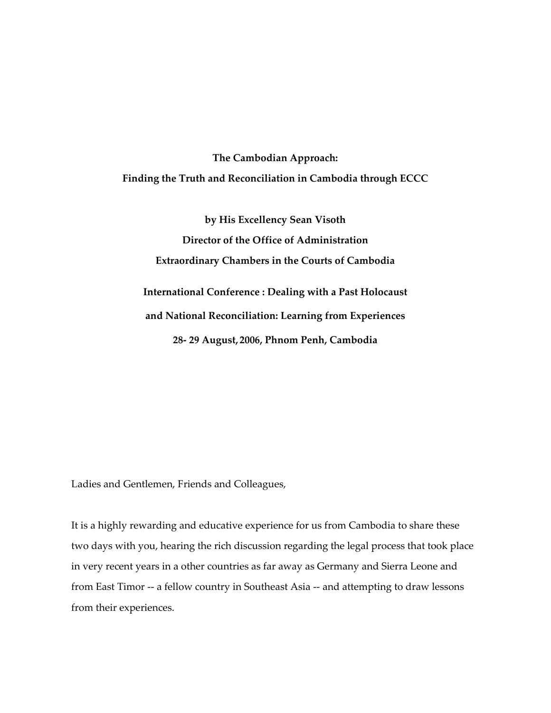## **The Cambodian Approach: Finding the Truth and Reconciliation in Cambodia through ECCC**

**by His Excellency Sean Visoth Director of the Office of Administration Extraordinary Chambers in the Courts of Cambodia International Conference : Dealing with a Past Holocaust and National Reconciliation: Learning from Experiences 28‐ 29 August, 2006, Phnom Penh, Cambodia**

Ladies and Gentlemen, Friends and Colleagues,

It is a highly rewarding and educative experience for us from Cambodia to share these two days with you, hearing the rich discussion regarding the legal process that took place in very recent years in a other countries as far away as Germany and Sierra Leone and from East Timor -- a fellow country in Southeast Asia -- and attempting to draw lessons from their experiences.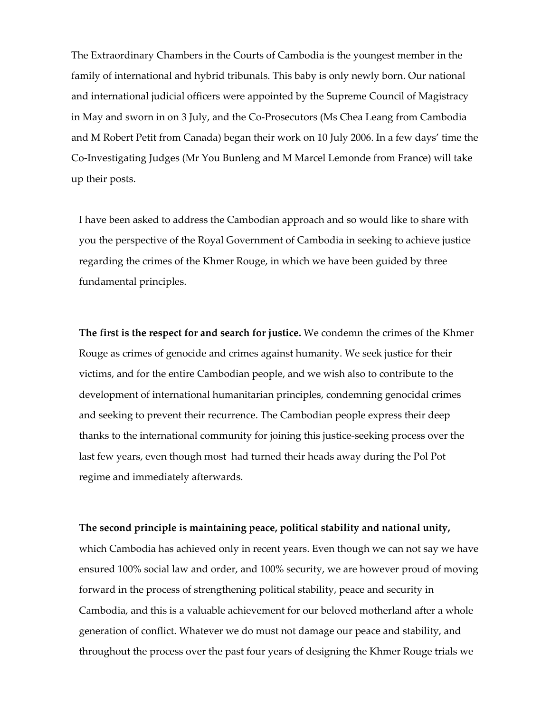The Extraordinary Chambers in the Courts of Cambodia is the youngest member in the family of international and hybrid tribunals. This baby is only newly born. Our national and international judicial officers were appointed by the Supreme Council of Magistracy in May and sworn in on 3 July, and the Co‐Prosecutors (Ms Chea Leang from Cambodia and M Robert Petit from Canada) began their work on 10 July 2006. In a few days' time the Co‐Investigating Judges (Mr You Bunleng and M Marcel Lemonde from France) will take up their posts.

I have been asked to address the Cambodian approach and so would like to share with you the perspective of the Royal Government of Cambodia in seeking to achieve justice regarding the crimes of the Khmer Rouge, in which we have been guided by three fundamental principles.

**The first is the respect for and search for justice.** We condemn the crimes of the Khmer Rouge as crimes of genocide and crimes against humanity. We seek justice for their victims, and for the entire Cambodian people, and we wish also to contribute to the development of international humanitarian principles, condemning genocidal crimes and seeking to prevent their recurrence. The Cambodian people express their deep thanks to the international community for joining this justice‐seeking process over the last few years, even though most had turned their heads away during the Pol Pot regime and immediately afterwards.

**The second principle is maintaining peace, political stability and national unity,**

which Cambodia has achieved only in recent years. Even though we can not say we have ensured 100% social law and order, and 100% security, we are however proud of moving forward in the process of strengthening political stability, peace and security in Cambodia, and this is a valuable achievement for our beloved motherland after a whole generation of conflict. Whatever we do must not damage our peace and stability, and throughout the process over the past four years of designing the Khmer Rouge trials we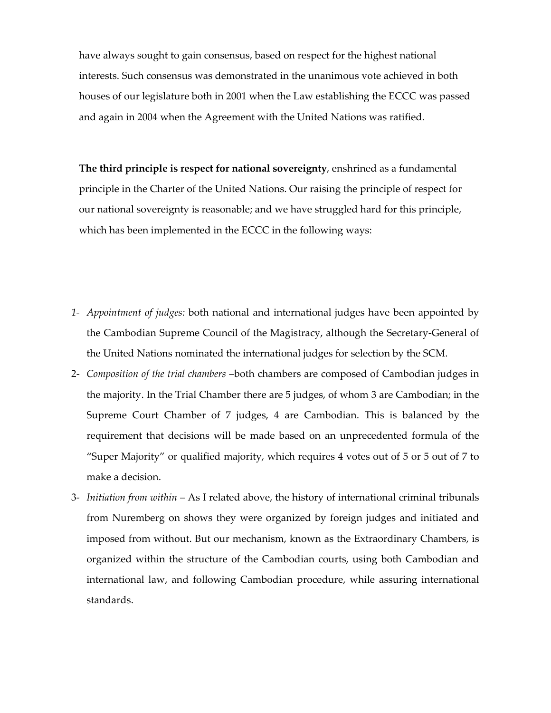have always sought to gain consensus, based on respect for the highest national interests. Such consensus was demonstrated in the unanimous vote achieved in both houses of our legislature both in 2001 when the Law establishing the ECCC was passed and again in 2004 when the Agreement with the United Nations was ratified.

**The third principle is respect for national sovereignty**, enshrined as a fundamental principle in the Charter of the United Nations. Our raising the principle of respect for our national sovereignty is reasonable; and we have struggled hard for this principle, which has been implemented in the ECCC in the following ways:

- *1‐ Appointment of judges:* both national and international judges have been appointed by the Cambodian Supreme Council of the Magistracy, although the Secretary‐General of the United Nations nominated the international judges for selection by the SCM.
- 2‐ *Composition of the trial chambers* –both chambers are composed of Cambodian judges in the majority. In the Trial Chamber there are 5 judges, of whom 3 are Cambodian; in the Supreme Court Chamber of 7 judges, 4 are Cambodian. This is balanced by the requirement that decisions will be made based on an unprecedented formula of the "Super Majority" or qualified majority, which requires 4 votes out of 5 or 5 out of 7 to make a decision.
- 3‐ *Initiation from within* As I related above, the history of international criminal tribunals from Nuremberg on shows they were organized by foreign judges and initiated and imposed from without. But our mechanism, known as the Extraordinary Chambers, is organized within the structure of the Cambodian courts, using both Cambodian and international law, and following Cambodian procedure, while assuring international standards.